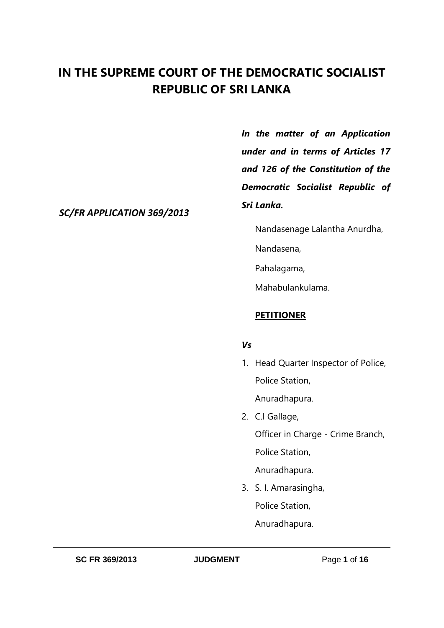# **IN THE SUPREME COURT OF THE DEMOCRATIC SOCIALIST REPUBLIC OF SRI LANKA**

*In the matter of an Application under and in terms of Articles 17 and 126 of the Constitution of the Democratic Socialist Republic of Sri Lanka.*

*SC/FR APPLICATION 369/2013*

Nandasenage Lalantha Anurdha,

Nandasena,

Pahalagama,

Mahabulankulama.

## **PETITIONER**

## *Vs*

- 1. Head Quarter Inspector of Police, Police Station, Anuradhapura.
- 2. C.I Gallage, Officer in Charge - Crime Branch, Police Station, Anuradhapura.
- 3. S. I. Amarasingha, Police Station, Anuradhapura.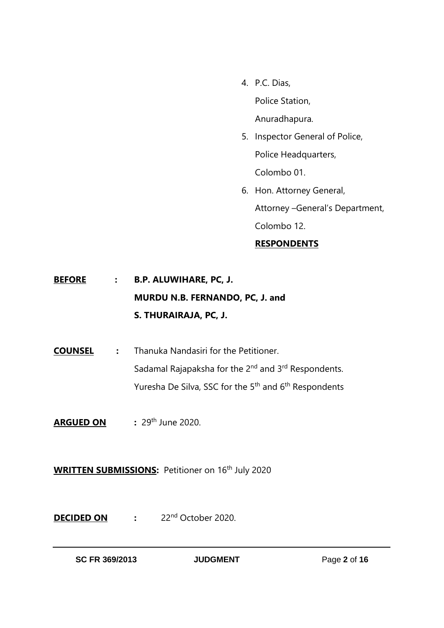- 4. P.C. Dias, Police Station, Anuradhapura.
- 5. Inspector General of Police, Police Headquarters, Colombo 01.
- 6. Hon. Attorney General, Attorney –General's Department, Colombo 12. **RESPONDENTS**

**BEFORE : B.P. ALUWIHARE, PC, J. MURDU N.B. FERNANDO, PC, J. and S. THURAIRAJA, PC, J.**

**COUNSEL :** Thanuka Nandasiri for the Petitioner. Sadamal Rajapaksha for the 2<sup>nd</sup> and 3<sup>rd</sup> Respondents. Yuresha De Silva, SSC for the 5<sup>th</sup> and 6<sup>th</sup> Respondents

**ARGUED ON** : 29<sup>th</sup> June 2020.

**WRITTEN SUBMISSIONS:** Petitioner on 16<sup>th</sup> July 2020

**DECIDED ON :** 22nd October 2020.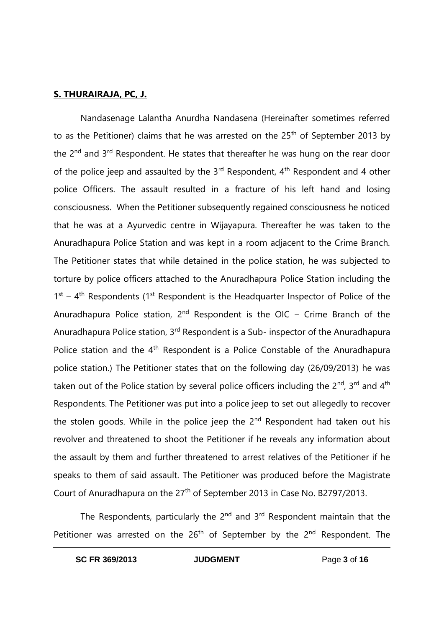#### **S. THURAIRAJA, PC, J.**

Nandasenage Lalantha Anurdha Nandasena (Hereinafter sometimes referred to as the Petitioner) claims that he was arrested on the 25<sup>th</sup> of September 2013 by the 2<sup>nd</sup> and 3<sup>rd</sup> Respondent. He states that thereafter he was hung on the rear door of the police jeep and assaulted by the  $3<sup>rd</sup>$  Respondent,  $4<sup>th</sup>$  Respondent and 4 other police Officers. The assault resulted in a fracture of his left hand and losing consciousness. When the Petitioner subsequently regained consciousness he noticed that he was at a Ayurvedic centre in Wijayapura. Thereafter he was taken to the Anuradhapura Police Station and was kept in a room adjacent to the Crime Branch. The Petitioner states that while detained in the police station, he was subjected to torture by police officers attached to the Anuradhapura Police Station including the  $1<sup>st</sup> - 4<sup>th</sup>$  Respondents (1<sup>st</sup> Respondent is the Headquarter Inspector of Police of the Anuradhapura Police station,  $2^{nd}$  Respondent is the OIC – Crime Branch of the Anuradhapura Police station, 3rd Respondent is a Sub- inspector of the Anuradhapura Police station and the 4<sup>th</sup> Respondent is a Police Constable of the Anuradhapura police station.) The Petitioner states that on the following day (26/09/2013) he was taken out of the Police station by several police officers including the  $2^{nd}$ ,  $3^{rd}$  and  $4^{th}$ Respondents. The Petitioner was put into a police jeep to set out allegedly to recover the stolen goods. While in the police jeep the  $2<sup>nd</sup>$  Respondent had taken out his revolver and threatened to shoot the Petitioner if he reveals any information about the assault by them and further threatened to arrest relatives of the Petitioner if he speaks to them of said assault. The Petitioner was produced before the Magistrate Court of Anuradhapura on the 27<sup>th</sup> of September 2013 in Case No. B2797/2013.

The Respondents, particularly the 2<sup>nd</sup> and 3<sup>rd</sup> Respondent maintain that the Petitioner was arrested on the 26<sup>th</sup> of September by the 2<sup>nd</sup> Respondent. The

**SC FR 369/2013 JUDGMENT** Page **3** of **16**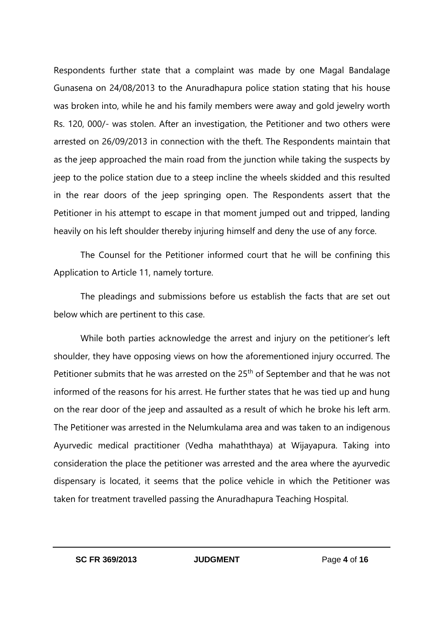Respondents further state that a complaint was made by one Magal Bandalage Gunasena on 24/08/2013 to the Anuradhapura police station stating that his house was broken into, while he and his family members were away and gold jewelry worth Rs. 120, 000/- was stolen. After an investigation, the Petitioner and two others were arrested on 26/09/2013 in connection with the theft. The Respondents maintain that as the jeep approached the main road from the junction while taking the suspects by jeep to the police station due to a steep incline the wheels skidded and this resulted in the rear doors of the jeep springing open. The Respondents assert that the Petitioner in his attempt to escape in that moment jumped out and tripped, landing heavily on his left shoulder thereby injuring himself and deny the use of any force.

The Counsel for the Petitioner informed court that he will be confining this Application to Article 11, namely torture.

The pleadings and submissions before us establish the facts that are set out below which are pertinent to this case.

While both parties acknowledge the arrest and injury on the petitioner's left shoulder, they have opposing views on how the aforementioned injury occurred. The Petitioner submits that he was arrested on the 25<sup>th</sup> of September and that he was not informed of the reasons for his arrest. He further states that he was tied up and hung on the rear door of the jeep and assaulted as a result of which he broke his left arm. The Petitioner was arrested in the Nelumkulama area and was taken to an indigenous Ayurvedic medical practitioner (Vedha mahaththaya) at Wijayapura. Taking into consideration the place the petitioner was arrested and the area where the ayurvedic dispensary is located, it seems that the police vehicle in which the Petitioner was taken for treatment travelled passing the Anuradhapura Teaching Hospital.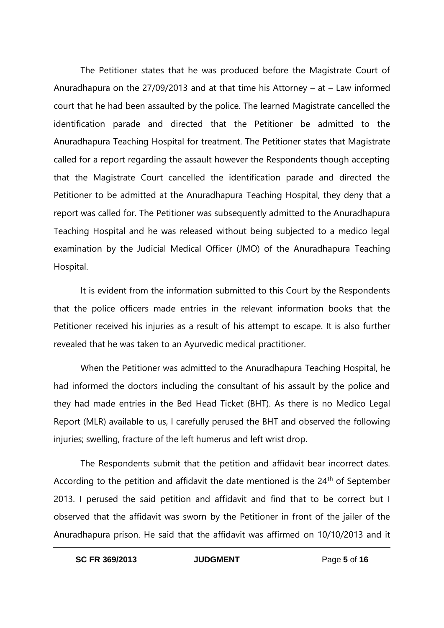The Petitioner states that he was produced before the Magistrate Court of Anuradhapura on the 27/09/2013 and at that time his Attorney – at – Law informed court that he had been assaulted by the police. The learned Magistrate cancelled the identification parade and directed that the Petitioner be admitted to the Anuradhapura Teaching Hospital for treatment. The Petitioner states that Magistrate called for a report regarding the assault however the Respondents though accepting that the Magistrate Court cancelled the identification parade and directed the Petitioner to be admitted at the Anuradhapura Teaching Hospital, they deny that a report was called for. The Petitioner was subsequently admitted to the Anuradhapura Teaching Hospital and he was released without being subjected to a medico legal examination by the Judicial Medical Officer (JMO) of the Anuradhapura Teaching Hospital.

It is evident from the information submitted to this Court by the Respondents that the police officers made entries in the relevant information books that the Petitioner received his injuries as a result of his attempt to escape. It is also further revealed that he was taken to an Ayurvedic medical practitioner.

When the Petitioner was admitted to the Anuradhapura Teaching Hospital, he had informed the doctors including the consultant of his assault by the police and they had made entries in the Bed Head Ticket (BHT). As there is no Medico Legal Report (MLR) available to us, I carefully perused the BHT and observed the following injuries; swelling, fracture of the left humerus and left wrist drop.

The Respondents submit that the petition and affidavit bear incorrect dates. According to the petition and affidavit the date mentioned is the  $24<sup>th</sup>$  of September 2013. I perused the said petition and affidavit and find that to be correct but I observed that the affidavit was sworn by the Petitioner in front of the jailer of the Anuradhapura prison. He said that the affidavit was affirmed on 10/10/2013 and it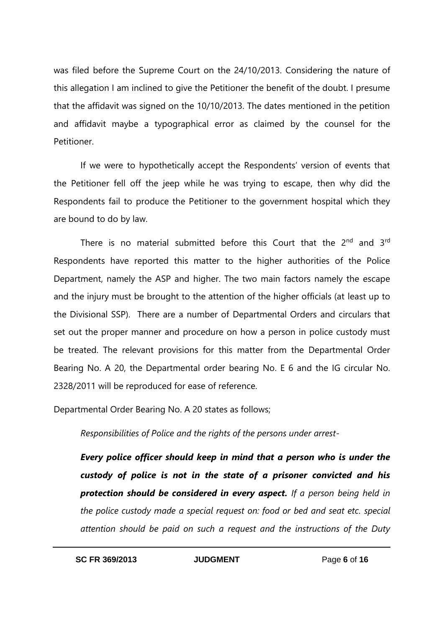was filed before the Supreme Court on the 24/10/2013. Considering the nature of this allegation I am inclined to give the Petitioner the benefit of the doubt. I presume that the affidavit was signed on the 10/10/2013. The dates mentioned in the petition and affidavit maybe a typographical error as claimed by the counsel for the Petitioner.

If we were to hypothetically accept the Respondents' version of events that the Petitioner fell off the jeep while he was trying to escape, then why did the Respondents fail to produce the Petitioner to the government hospital which they are bound to do by law.

There is no material submitted before this Court that the  $2<sup>nd</sup>$  and  $3<sup>rd</sup>$ Respondents have reported this matter to the higher authorities of the Police Department, namely the ASP and higher. The two main factors namely the escape and the injury must be brought to the attention of the higher officials (at least up to the Divisional SSP). There are a number of Departmental Orders and circulars that set out the proper manner and procedure on how a person in police custody must be treated. The relevant provisions for this matter from the Departmental Order Bearing No. A 20, the Departmental order bearing No. E 6 and the IG circular No. 2328/2011 will be reproduced for ease of reference.

Departmental Order Bearing No. A 20 states as follows;

*Responsibilities of Police and the rights of the persons under arrest-*

*Every police officer should keep in mind that a person who is under the custody of police is not in the state of a prisoner convicted and his protection should be considered in every aspect. If a person being held in the police custody made a special request on: food or bed and seat etc. special attention should be paid on such a request and the instructions of the Duty*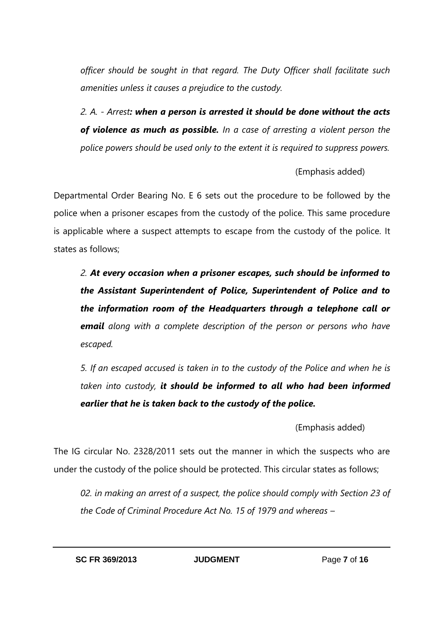*officer should be sought in that regard. The Duty Officer shall facilitate such amenities unless it causes a prejudice to the custody.*

*2. A. - Arrest: when a person is arrested it should be done without the acts of violence as much as possible. In a case of arresting a violent person the police powers should be used only to the extent it is required to suppress powers.*

(Emphasis added)

Departmental Order Bearing No. E 6 sets out the procedure to be followed by the police when a prisoner escapes from the custody of the police. This same procedure is applicable where a suspect attempts to escape from the custody of the police. It states as follows;

*2. At every occasion when a prisoner escapes, such should be informed to the Assistant Superintendent of Police, Superintendent of Police and to the information room of the Headquarters through a telephone call or email along with a complete description of the person or persons who have escaped.*

*5. If an escaped accused is taken in to the custody of the Police and when he is taken into custody, it should be informed to all who had been informed earlier that he is taken back to the custody of the police.* 

(Emphasis added)

The IG circular No. 2328/2011 sets out the manner in which the suspects who are under the custody of the police should be protected. This circular states as follows;

*02. in making an arrest of a suspect, the police should comply with Section 23 of the Code of Criminal Procedure Act No. 15 of 1979 and whereas –*

**SC FR 369/2013 JUDGMENT** Page **7** of **16**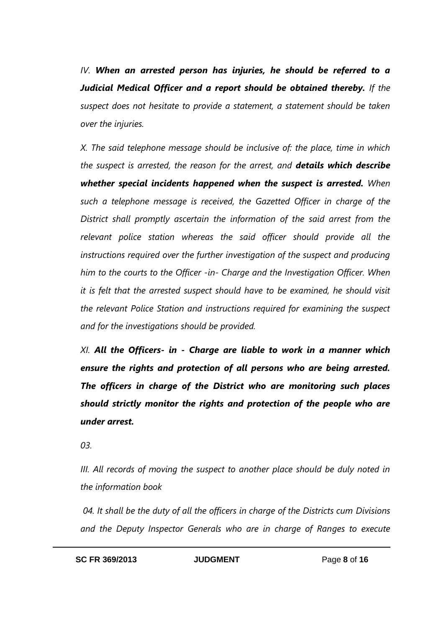*IV. When an arrested person has injuries, he should be referred to a Judicial Medical Officer and a report should be obtained thereby. If the suspect does not hesitate to provide a statement, a statement should be taken over the injuries.* 

*X. The said telephone message should be inclusive of: the place, time in which the suspect is arrested, the reason for the arrest, and details which describe whether special incidents happened when the suspect is arrested. When such a telephone message is received, the Gazetted Officer in charge of the District shall promptly ascertain the information of the said arrest from the relevant police station whereas the said officer should provide all the instructions required over the further investigation of the suspect and producing him to the courts to the Officer -in- Charge and the Investigation Officer. When it is felt that the arrested suspect should have to be examined, he should visit the relevant Police Station and instructions required for examining the suspect and for the investigations should be provided.*

*XI. All the Officers- in - Charge are liable to work in a manner which ensure the rights and protection of all persons who are being arrested. The officers in charge of the District who are monitoring such places should strictly monitor the rights and protection of the people who are under arrest.*

*03.* 

*III. All records of moving the suspect to another place should be duly noted in the information book*

*04. It shall be the duty of all the officers in charge of the Districts cum Divisions and the Deputy Inspector Generals who are in charge of Ranges to execute*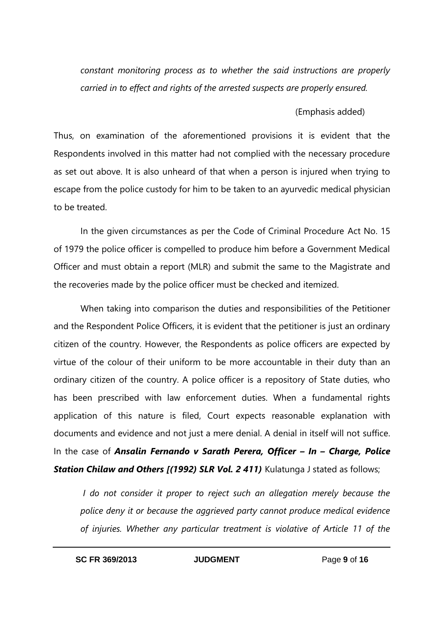*constant monitoring process as to whether the said instructions are properly carried in to effect and rights of the arrested suspects are properly ensured.*

## (Emphasis added)

Thus, on examination of the aforementioned provisions it is evident that the Respondents involved in this matter had not complied with the necessary procedure as set out above. It is also unheard of that when a person is injured when trying to escape from the police custody for him to be taken to an ayurvedic medical physician to be treated.

In the given circumstances as per the Code of Criminal Procedure Act No. 15 of 1979 the police officer is compelled to produce him before a Government Medical Officer and must obtain a report (MLR) and submit the same to the Magistrate and the recoveries made by the police officer must be checked and itemized.

When taking into comparison the duties and responsibilities of the Petitioner and the Respondent Police Officers, it is evident that the petitioner is just an ordinary citizen of the country. However, the Respondents as police officers are expected by virtue of the colour of their uniform to be more accountable in their duty than an ordinary citizen of the country. A police officer is a repository of State duties, who has been prescribed with law enforcement duties. When a fundamental rights application of this nature is filed, Court expects reasonable explanation with documents and evidence and not just a mere denial. A denial in itself will not suffice. In the case of *Ansalin Fernando v Sarath Perera, Officer – In – Charge, Police*  **Station Chilaw and Others [(1992) SLR Vol. 2 411)** Kulatunga J stated as follows;

*I* do not consider it proper to reject such an allegation merely because the *police deny it or because the aggrieved party cannot produce medical evidence of injuries. Whether any particular treatment is violative of Article 11 of the*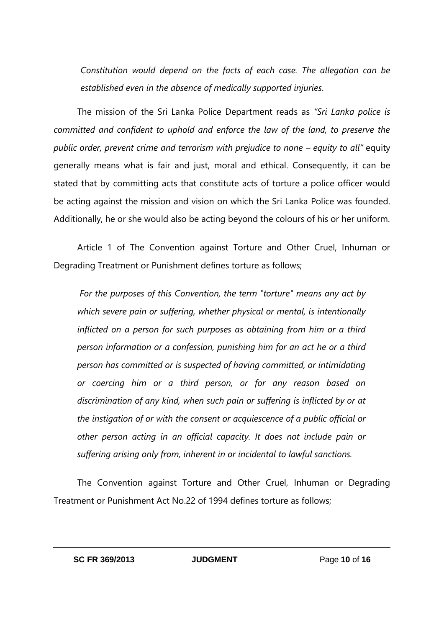*Constitution would depend on the facts of each case. The allegation can be established even in the absence of medically supported injuries.*

The mission of the Sri Lanka Police Department reads as *"Sri Lanka police is committed and confident to uphold and enforce the law of the land, to preserve the public order, prevent crime and terrorism with prejudice to none – equity to all"* equity generally means what is fair and just, moral and ethical. Consequently, it can be stated that by committing acts that constitute acts of torture a police officer would be acting against the mission and vision on which the Sri Lanka Police was founded. Additionally, he or she would also be acting beyond the colours of his or her uniform.

Article 1 of The Convention against Torture and Other Cruel, Inhuman or Degrading Treatment or Punishment defines torture as follows;

*For the purposes of this Convention, the term "torture" means any act by which severe pain or suffering, whether physical or mental, is intentionally inflicted on a person for such purposes as obtaining from him or a third person information or a confession, punishing him for an act he or a third person has committed or is suspected of having committed, or intimidating or coercing him or a third person, or for any reason based on discrimination of any kind, when such pain or suffering is inflicted by or at the instigation of or with the consent or acquiescence of a public official or other person acting in an official capacity. It does not include pain or suffering arising only from, inherent in or incidental to lawful sanctions.*

The Convention against Torture and Other Cruel, Inhuman or Degrading Treatment or Punishment Act No.22 of 1994 defines torture as follows;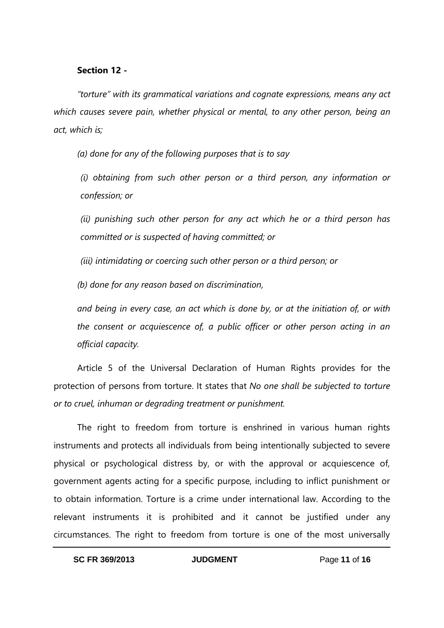#### **Section 12 -**

*"torture" with its grammatical variations and cognate expressions, means any act which causes severe pain, whether physical or mental, to any other person, being an act, which is;*

*(a) done for any of the following purposes that is to say*

*(i) obtaining from such other person or a third person, any information or confession; or*

*(ii) punishing such other person for any act which he or a third person has committed or is suspected of having committed; or*

*(iii) intimidating or coercing such other person or a third person; or*

*(b) done for any reason based on discrimination,*

*and being in every case, an act which is done by, or at the initiation of, or with the consent or acquiescence of, a public officer or other person acting in an official capacity.*

Article 5 of the Universal Declaration of Human Rights provides for the protection of persons from torture. It states that *No one shall be subjected to torture or to cruel, inhuman or degrading treatment or punishment.*

The right to freedom from torture is enshrined in various human rights instruments and protects all individuals from being intentionally subjected to severe physical or psychological distress by, or with the approval or acquiescence of, government agents acting for a specific purpose, including to inflict punishment or to obtain information. Torture is a crime under international law. According to the relevant instruments it is prohibited and it cannot be justified under any circumstances. The right to freedom from torture is one of the most universally

**SC FR 369/2013 JUDGMENT** Page **11** of **16**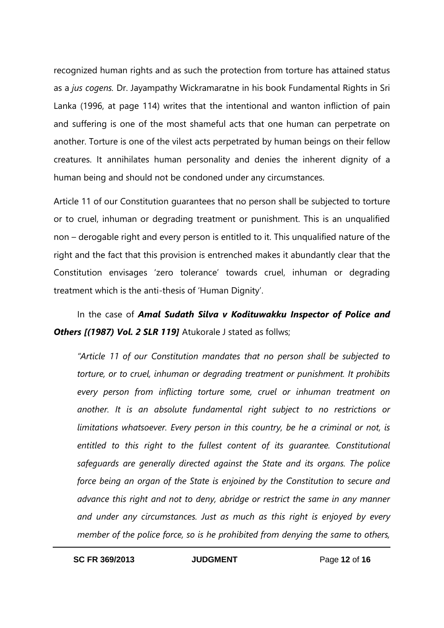recognized human rights and as such the protection from torture has attained status as a *jus cogens.* Dr. Jayampathy Wickramaratne in his book Fundamental Rights in Sri Lanka (1996, at page 114) writes that the intentional and wanton infliction of pain and suffering is one of the most shameful acts that one human can perpetrate on another. Torture is one of the vilest acts perpetrated by human beings on their fellow creatures. It annihilates human personality and denies the inherent dignity of a human being and should not be condoned under any circumstances.

Article 11 of our Constitution guarantees that no person shall be subjected to torture or to cruel, inhuman or degrading treatment or punishment. This is an unqualified non – derogable right and every person is entitled to it. This unqualified nature of the right and the fact that this provision is entrenched makes it abundantly clear that the Constitution envisages 'zero tolerance' towards cruel, inhuman or degrading treatment which is the anti-thesis of 'Human Dignity'.

In the case of *Amal Sudath Silva v Kodituwakku Inspector of Police and*  **Others [(1987) Vol. 2 SLR 119]** Atukorale J stated as follws;

*"Article 11 of our Constitution mandates that no person shall be subjected to torture, or to cruel, inhuman or degrading treatment or punishment. It prohibits every person from inflicting torture some, cruel or inhuman treatment on another. It is an absolute fundamental right subject to no restrictions or limitations whatsoever. Every person in this country, be he a criminal or not, is entitled to this right to the fullest content of its guarantee. Constitutional safeguards are generally directed against the State and its organs. The police force being an organ of the State is enjoined by the Constitution to secure and advance this right and not to deny, abridge or restrict the same in any manner and under any circumstances. Just as much as this right is enjoyed by every member of the police force, so is he prohibited from denying the same to others,* 

**SC FR 369/2013 JUDGMENT** Page **12** of **16**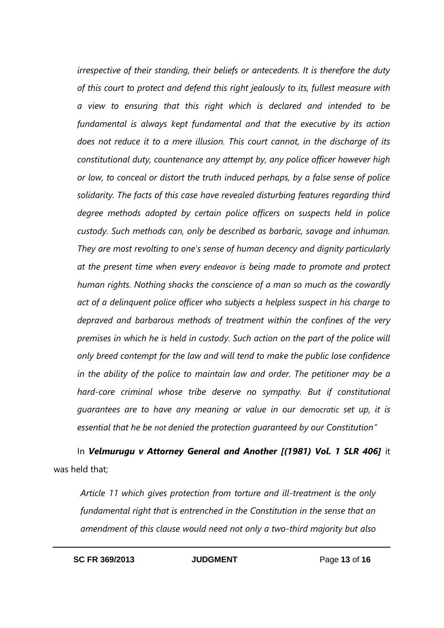*irrespective of their standing, their beliefs or antecedents. It is therefore the duty of this court to protect and defend this right jealously to its, fullest measure with a view to ensuring that this right which is declared and intended to be fundamental is always kept fundamental and that the executive by its action does not reduce it to a mere illusion. This court cannot, in the discharge of its constitutional duty, countenance any attempt by, any police officer however high or low, to conceal or distort the truth induced perhaps, by a false sense of police solidarity. The facts of this case have revealed disturbing features regarding third degree methods adopted by certain police officers on suspects held in police custody. Such methods can, only be described as barbaric, savage and inhuman. They are most revolting to one's sense of human decency and dignity particularly at the present time when every endeavor is being made to promote and protect human rights. Nothing shocks the conscience of a man so much as the cowardly act of a delinquent police officer who subjects a helpless suspect in his charge to depraved and barbarous methods of treatment within the confines of the very premises in which he is held in custody. Such action on the part of the police will only breed contempt for the law and will tend to make the public lose confidence in the ability of the police to maintain law and order. The petitioner may be a hard-core criminal whose tribe deserve no sympathy. But if constitutional guarantees are to have any meaning or value in our democratic set up, it is essential that he be not denied the protection guaranteed by our Constitution"*

In *Velmurugu v Attorney General and Another [(1981) Vol. 1 SLR 406]* it was held that;

*Article 11 which gives protection from torture and ill-treatment is the only fundamental right that is entrenched in the Constitution in the sense that an amendment of this clause would need not only a two-third majority but also*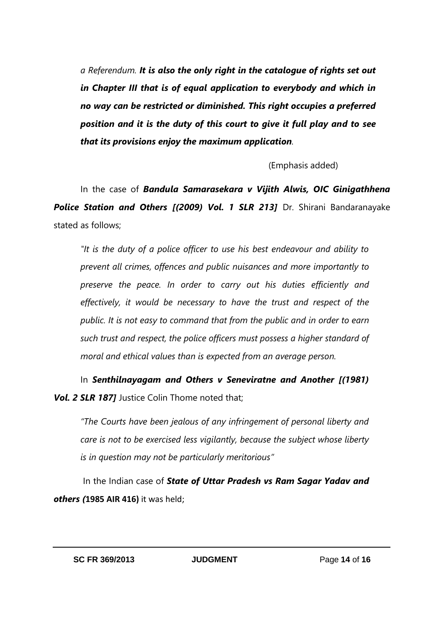*a Referendum. It is also the only right in the catalogue of rights set out in Chapter III that is of equal application to everybody and which in no way can be restricted or diminished. This right occupies a preferred position and it is the duty of this court to give it full play and to see that its provisions enjoy the maximum application.*

(Emphasis added)

In the case of *Bandula Samarasekara v Vijith Alwis, OIC Ginigathhena Police Station and Others [(2009) Vol. 1 SLR 213]* Dr. Shirani Bandaranayake stated as follows;

*"It is the duty of a police officer to use his best endeavour and ability to prevent all crimes, offences and public nuisances and more importantly to preserve the peace. In order to carry out his duties efficiently and effectively, it would be necessary to have the trust and respect of the public. It is not easy to command that from the public and in order to earn such trust and respect, the police officers must possess a higher standard of moral and ethical values than is expected from an average person.*

In **Senthilnayagam and Others v Seneviratne and Another [(1981) Vol. 2 SLR 1871** Justice Colin Thome noted that:

*"The Courts have been jealous of any infringement of personal liberty and care is not to be exercised less vigilantly, because the subject whose liberty is in question may not be particularly meritorious"*

 In the Indian case of *State of Uttar Pradesh vs Ram Sagar Yadav and others (***1985 AIR 416)** it was held;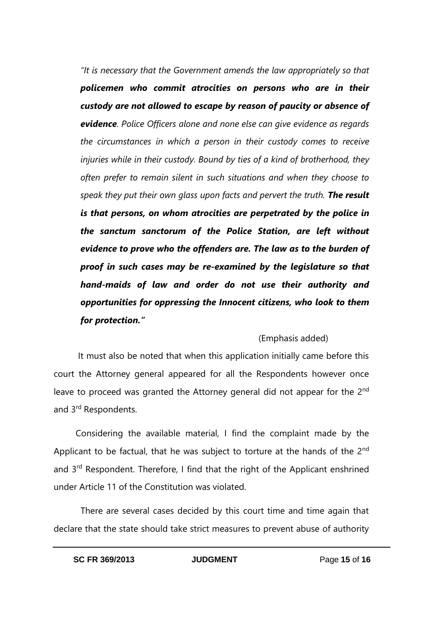*"It is necessary that the Government amends the law appropriately so that policemen who commit atrocities on persons who are in their custody are not allowed to escape by reason of paucity or absence of evidence. Police Officers alone and none else can give evidence as regards the circumstances in which a person in their custody comes to receive injuries while in their custody. Bound by ties of a kind of brotherhood, they often prefer to remain silent in such situations and when they choose to speak they put their own glass upon facts and pervert the truth. The result is that persons, on whom atrocities are perpetrated by the police in the sanctum sanctorum of the Police Station, are left without evidence to prove who the offenders are. The law as to the burden of proof in such cases may be re-examined by the legislature so that hand-maids of law and order do not use their authority and opportunities for oppressing the Innocent citizens, who look to them for protection."*

## (Emphasis added)

 It must also be noted that when this application initially came before this court the Attorney general appeared for all the Respondents however once leave to proceed was granted the Attorney general did not appear for the 2<sup>nd</sup> and 3rd Respondents.

 Considering the available material, I find the complaint made by the Applicant to be factual, that he was subject to torture at the hands of the 2<sup>nd</sup> and 3rd Respondent. Therefore, I find that the right of the Applicant enshrined under Article 11 of the Constitution was violated.

 There are several cases decided by this court time and time again that declare that the state should take strict measures to prevent abuse of authority